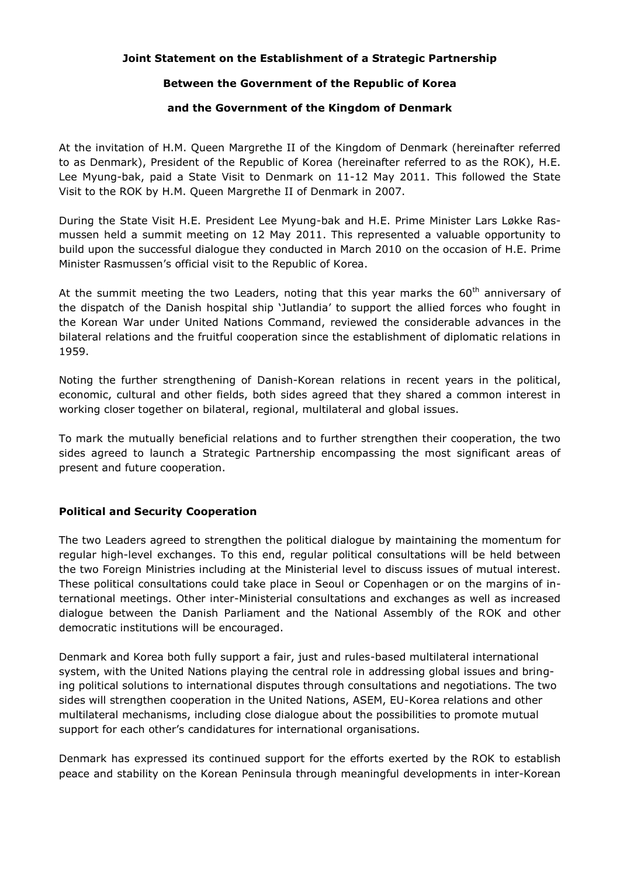## **Joint Statement on the Establishment of a Strategic Partnership**

#### **Between the Government of the Republic of Korea**

#### **and the Government of the Kingdom of Denmark**

At the invitation of H.M. Queen Margrethe II of the Kingdom of Denmark (hereinafter referred to as Denmark), President of the Republic of Korea (hereinafter referred to as the ROK), H.E. Lee Myung-bak, paid a State Visit to Denmark on 11-12 May 2011. This followed the State Visit to the ROK by H.M. Queen Margrethe II of Denmark in 2007.

During the State Visit H.E. President Lee Myung-bak and H.E. Prime Minister Lars Løkke Rasmussen held a summit meeting on 12 May 2011. This represented a valuable opportunity to build upon the successful dialogue they conducted in March 2010 on the occasion of H.E. Prime Minister Rasmussen's official visit to the Republic of Korea.

At the summit meeting the two Leaders, noting that this year marks the  $60<sup>th</sup>$  anniversary of the dispatch of the Danish hospital ship 'Jutlandia' to support the allied forces who fought in the Korean War under United Nations Command, reviewed the considerable advances in the bilateral relations and the fruitful cooperation since the establishment of diplomatic relations in 1959.

Noting the further strengthening of Danish-Korean relations in recent years in the political, economic, cultural and other fields, both sides agreed that they shared a common interest in working closer together on bilateral, regional, multilateral and global issues.

To mark the mutually beneficial relations and to further strengthen their cooperation, the two sides agreed to launch a Strategic Partnership encompassing the most significant areas of present and future cooperation.

## **Political and Security Cooperation**

The two Leaders agreed to strengthen the political dialogue by maintaining the momentum for regular high-level exchanges. To this end, regular political consultations will be held between the two Foreign Ministries including at the Ministerial level to discuss issues of mutual interest. These political consultations could take place in Seoul or Copenhagen or on the margins of international meetings. Other inter-Ministerial consultations and exchanges as well as increased dialogue between the Danish Parliament and the National Assembly of the ROK and other democratic institutions will be encouraged.

Denmark and Korea both fully support a fair, just and rules-based multilateral international system, with the United Nations playing the central role in addressing global issues and bringing political solutions to international disputes through consultations and negotiations. The two sides will strengthen cooperation in the United Nations, ASEM, EU-Korea relations and other multilateral mechanisms, including close dialogue about the possibilities to promote mutual support for each other's candidatures for international organisations.

Denmark has expressed its continued support for the efforts exerted by the ROK to establish peace and stability on the Korean Peninsula through meaningful developments in inter-Korean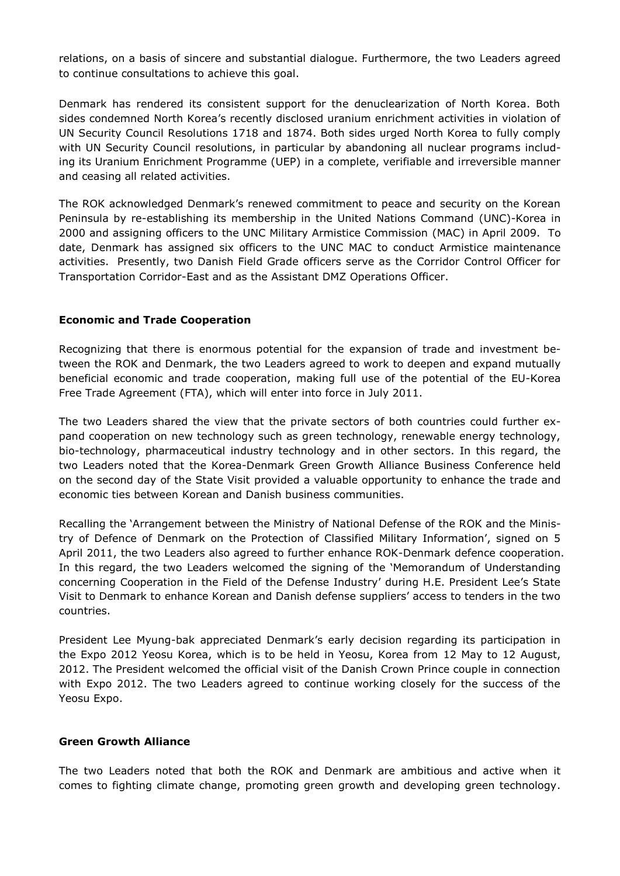relations, on a basis of sincere and substantial dialogue. Furthermore, the two Leaders agreed to continue consultations to achieve this goal.

Denmark has rendered its consistent support for the denuclearization of North Korea. Both sides condemned North Korea's recently disclosed uranium enrichment activities in violation of UN Security Council Resolutions 1718 and 1874. Both sides urged North Korea to fully comply with UN Security Council resolutions, in particular by abandoning all nuclear programs including its Uranium Enrichment Programme (UEP) in a complete, verifiable and irreversible manner and ceasing all related activities.

The ROK acknowledged Denmark's renewed commitment to peace and security on the Korean Peninsula by re-establishing its membership in the United Nations Command (UNC)-Korea in 2000 and assigning officers to the UNC Military Armistice Commission (MAC) in April 2009. To date, Denmark has assigned six officers to the UNC MAC to conduct Armistice maintenance activities. Presently, two Danish Field Grade officers serve as the Corridor Control Officer for Transportation Corridor-East and as the Assistant DMZ Operations Officer.

## **Economic and Trade Cooperation**

Recognizing that there is enormous potential for the expansion of trade and investment between the ROK and Denmark, the two Leaders agreed to work to deepen and expand mutually beneficial economic and trade cooperation, making full use of the potential of the EU-Korea Free Trade Agreement (FTA), which will enter into force in July 2011.

The two Leaders shared the view that the private sectors of both countries could further expand cooperation on new technology such as green technology, renewable energy technology, bio-technology, pharmaceutical industry technology and in other sectors. In this regard, the two Leaders noted that the Korea-Denmark Green Growth Alliance Business Conference held on the second day of the State Visit provided a valuable opportunity to enhance the trade and economic ties between Korean and Danish business communities.

Recalling the 'Arrangement between the Ministry of National Defense of the ROK and the Ministry of Defence of Denmark on the Protection of Classified Military Information', signed on 5 April 2011, the two Leaders also agreed to further enhance ROK-Denmark defence cooperation. In this regard, the two Leaders welcomed the signing of the 'Memorandum of Understanding concerning Cooperation in the Field of the Defense Industry' during H.E. President Lee's State Visit to Denmark to enhance Korean and Danish defense suppliers' access to tenders in the two countries.

President Lee Myung-bak appreciated Denmark's early decision regarding its participation in the Expo 2012 Yeosu Korea, which is to be held in Yeosu, Korea from 12 May to 12 August, 2012. The President welcomed the official visit of the Danish Crown Prince couple in connection with Expo 2012. The two Leaders agreed to continue working closely for the success of the Yeosu Expo.

#### **Green Growth Alliance**

The two Leaders noted that both the ROK and Denmark are ambitious and active when it comes to fighting climate change, promoting green growth and developing green technology.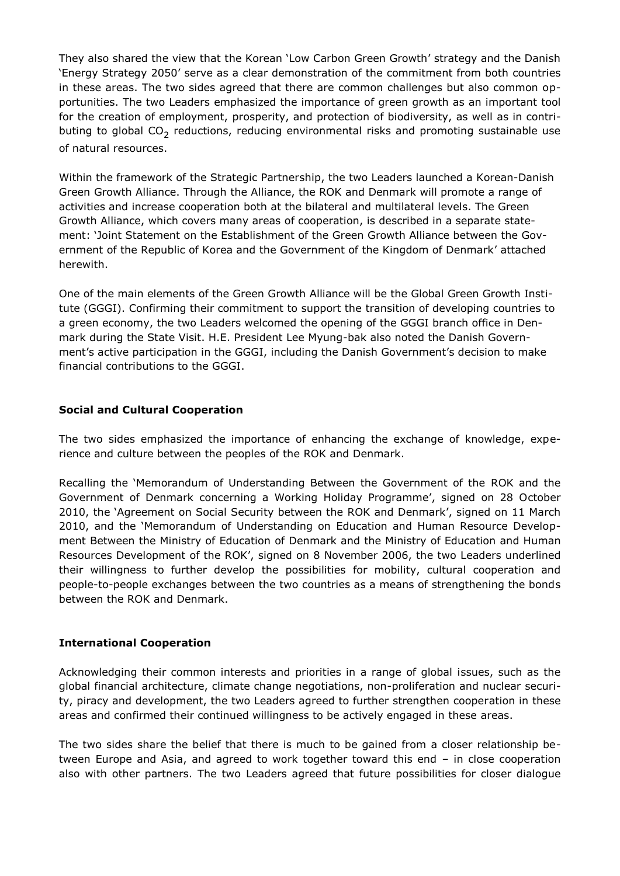They also shared the view that the Korean 'Low Carbon Green Growth' strategy and the Danish 'Energy Strategy 2050' serve as a clear demonstration of the commitment from both countries in these areas. The two sides agreed that there are common challenges but also common opportunities. The two Leaders emphasized the importance of green growth as an important tool for the creation of employment, prosperity, and protection of biodiversity, as well as in contributing to global  $CO_2$  reductions, reducing environmental risks and promoting sustainable use of natural resources.

Within the framework of the Strategic Partnership, the two Leaders launched a Korean-Danish Green Growth Alliance. Through the Alliance, the ROK and Denmark will promote a range of activities and increase cooperation both at the bilateral and multilateral levels. The Green Growth Alliance, which covers many areas of cooperation, is described in a separate statement: 'Joint Statement on the Establishment of the Green Growth Alliance between the Government of the Republic of Korea and the Government of the Kingdom of Denmark' attached herewith.

One of the main elements of the Green Growth Alliance will be the Global Green Growth Institute (GGGI). Confirming their commitment to support the transition of developing countries to a green economy, the two Leaders welcomed the opening of the GGGI branch office in Denmark during the State Visit. H.E. President Lee Myung-bak also noted the Danish Government's active participation in the GGGI, including the Danish Government's decision to make financial contributions to the GGGI.

# **Social and Cultural Cooperation**

The two sides emphasized the importance of enhancing the exchange of knowledge, experience and culture between the peoples of the ROK and Denmark.

Recalling the 'Memorandum of Understanding Between the Government of the ROK and the Government of Denmark concerning a Working Holiday Programme', signed on 28 October 2010, the 'Agreement on Social Security between the ROK and Denmark', signed on 11 March 2010, and the 'Memorandum of Understanding on Education and Human Resource Development Between the Ministry of Education of Denmark and the Ministry of Education and Human Resources Development of the ROK', signed on 8 November 2006, the two Leaders underlined their willingness to further develop the possibilities for mobility, cultural cooperation and people-to-people exchanges between the two countries as a means of strengthening the bonds between the ROK and Denmark.

## **International Cooperation**

Acknowledging their common interests and priorities in a range of global issues, such as the global financial architecture, climate change negotiations, non-proliferation and nuclear security, piracy and development, the two Leaders agreed to further strengthen cooperation in these areas and confirmed their continued willingness to be actively engaged in these areas.

The two sides share the belief that there is much to be gained from a closer relationship between Europe and Asia, and agreed to work together toward this end – in close cooperation also with other partners. The two Leaders agreed that future possibilities for closer dialogue